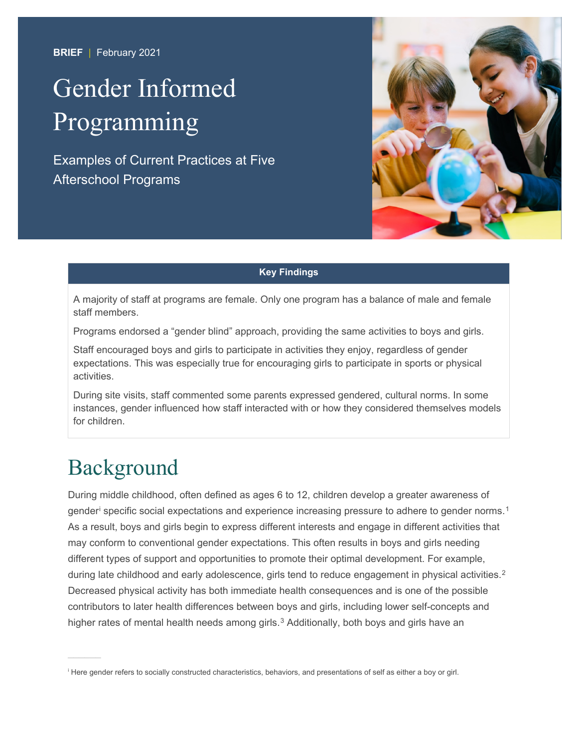**BRIEF** | February 2021

# Gender Informed Programming

Examples of Current Practices at Five Afterschool Programs



#### **Key Findings**

A majority of staff at programs are female. Only one program has a balance of male and female staff members.

Programs endorsed a "gender blind" approach, providing the same activities to boys and girls.

Staff encouraged boys and girls to participate in activities they enjoy, regardless of gender expectations. This was especially true for encouraging girls to participate in sports or physical activities.

During site visits, staff commented some parents expressed gendered, cultural norms. In some instances, gender influenced how staff interacted with or how they considered themselves models for children.

### Background

During middle childhood, often defined as ages 6 to 12, children develop a greater awareness of gender $^{\text{i}}$  $^{\text{i}}$  $^{\text{i}}$  specific social expectations and experience increasing pressure to adhere to gender norms. $^{\text{1}}$  $^{\text{1}}$  $^{\text{1}}$ As a result, boys and girls begin to express different interests and engage in different activities that may conform to conventional gender expectations. This often results in boys and girls needing different types of support and opportunities to promote their optimal development. For example, during late childhood and early adolescence, girls tend to reduce engagement in physical activities.<sup>[2](#page-7-1)</sup> Decreased physical activity has both immediate health consequences and is one of the possible contributors to later health differences between boys and girls, including lower self-concepts and higher rates of mental health needs among girls.<sup>[3](#page-7-2)</sup> Additionally, both boys and girls have an

<span id="page-0-0"></span>i Here gender refers to socially constructed characteristics, behaviors, and presentations of self as either a boy or girl.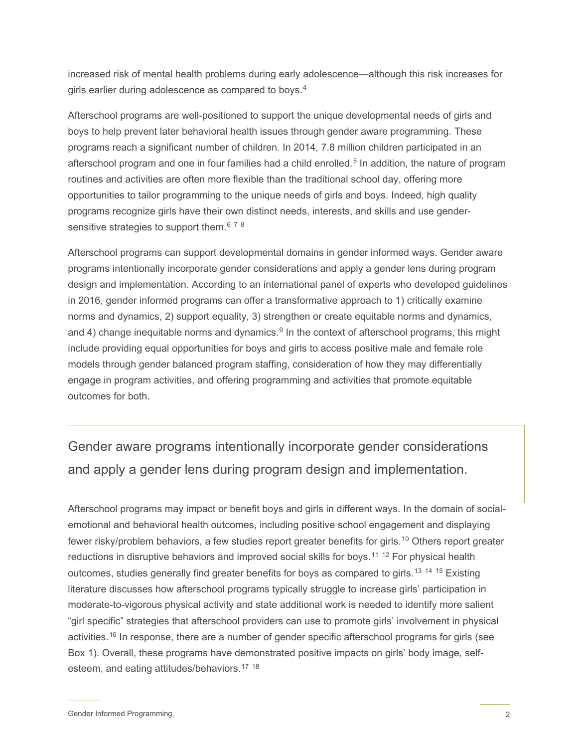increased risk of mental health problems during early adolescence—although this risk increases for girls earlier during adolescence as compared to boys. $^{\rm 4}$  $^{\rm 4}$  $^{\rm 4}$ 

Afterschool programs are well-positioned to support the unique developmental needs of girls and boys to help prevent later behavioral health issues through gender aware programming. These programs reach a significant number of children. In 2014, 7.8 million children participated in an afterschool program and one in four families had a child enrolled.<sup>[5](#page-7-4)</sup> In addition, the nature of program routines and activities are often more flexible than the traditional school day, offering more opportunities to tailor programming to the unique needs of girls and boys. Indeed, high quality programs recognize girls have their own distinct needs, interests, and skills and use gendersensitive strategies to support them. $^{\rm 6}$  $^{\rm 6}$  $^{\rm 6}$  <sup>[7](#page-7-6)</sup>  $^{\rm 8}$  $^{\rm 8}$  $^{\rm 8}$ 

Afterschool programs can support developmental domains in gender informed ways. Gender aware programs intentionally incorporate gender considerations and apply a gender lens during program design and implementation. According to an international panel of experts who developed guidelines in 2016, gender informed programs can offer a transformative approach to 1) critically examine norms and dynamics, 2) support equality, 3) strengthen or create equitable norms and dynamics, and 4) change inequitable norms and dynamics.<sup>[9](#page-7-8)</sup> In the context of afterschool programs, this might include providing equal opportunities for boys and girls to access positive male and female role models through gender balanced program staffing, consideration of how they may differentially engage in program activities, and offering programming and activities that promote equitable outcomes for both.

### Gender aware programs intentionally incorporate gender considerations and apply a gender lens during program design and implementation.

Afterschool programs may impact or benefit boys and girls in different ways. In the domain of socialemotional and behavioral health outcomes, including positive school engagement and displaying fewer risky/problem behaviors, a few studies report greater benefits for girls. [10](#page-7-9) Others report greater reductions in disruptive behaviors and improved social skills for boys.<sup>[11](#page-7-10)\_[12](#page-7-11)</sup> For physical health outcomes, studies generally find greater benefits for boys as compared to girls.<sup>[13](#page-7-12)–[14](#page-7-13)–[15](#page-7-14)</sup> Existing literature discusses how afterschool programs typically struggle to increase girls' participation in moderate-to-vigorous physical activity and state additional work is needed to identify more salient "girl specific" strategies that afterschool providers can use to promote girls' involvement in physical activities.<sup>[16](#page-7-15)</sup> In response, there are a number of gender specific afterschool programs for girls (see Box 1). Overall, these programs have demonstrated positive impacts on girls' body image, selfesteem, and eating attitudes/behaviors. [17](#page-7-16) [18](#page-7-17)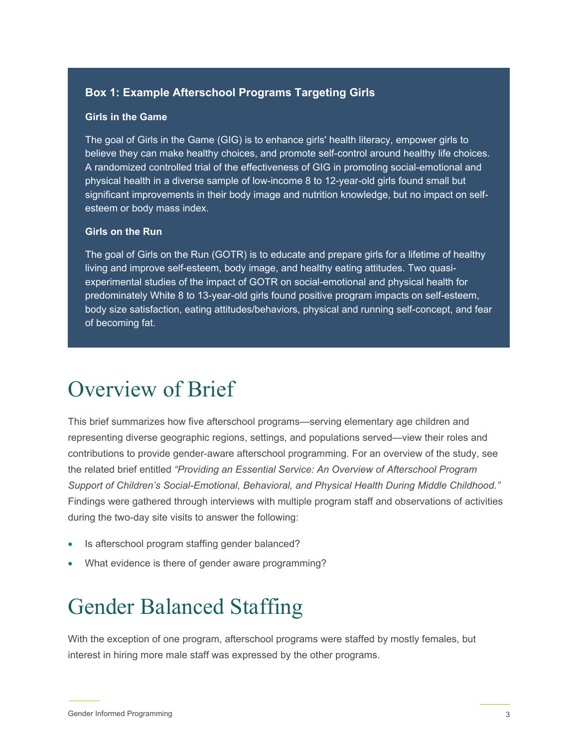### **Box 1: Example Afterschool Programs Targeting Girls**

#### **Girls in the Game**

The goal of Girls in the Game (GIG) is to enhance girls' health literacy, empower girls to believe they can make healthy choices, and promote self-control around healthy life choices. A randomized controlled trial of the effectiveness of GIG in promoting social-emotional and physical health in a diverse sample of low-income 8 to 12-year-old girls found small but significant improvements in their body image and nutrition knowledge, but no impact on selfesteem or body mass index.

#### **Girls on the Run**

The goal of Girls on the Run (GOTR) is to educate and prepare girls for a lifetime of healthy living and improve self-esteem, body image, and healthy eating attitudes. Two quasiexperimental studies of the impact of GOTR on social-emotional and physical health for predominately White 8 to 13-year-old girls found positive program impacts on self-esteem, body size satisfaction, eating attitudes/behaviors, physical and running self-concept, and fear of becoming fat.

### Overview of Brief

This brief summarizes how five afterschool programs—serving elementary age children and representing diverse geographic regions, settings, and populations served—view their roles and contributions to provide gender-aware afterschool programming. For an overview of the study, see the related brief entitled *"Providing an Essential Service: An Overview of Afterschool Program Support of Children's Social-Emotional, Behavioral, and Physical Health During Middle Childhood."* Findings were gathered through interviews with multiple program staff and observations of activities during the two-day site visits to answer the following:

- Is afterschool program staffing gender balanced?
- What evidence is there of gender aware programming?

### Gender Balanced Staffing

With the exception of one program, afterschool programs were staffed by mostly females, but interest in hiring more male staff was expressed by the other programs.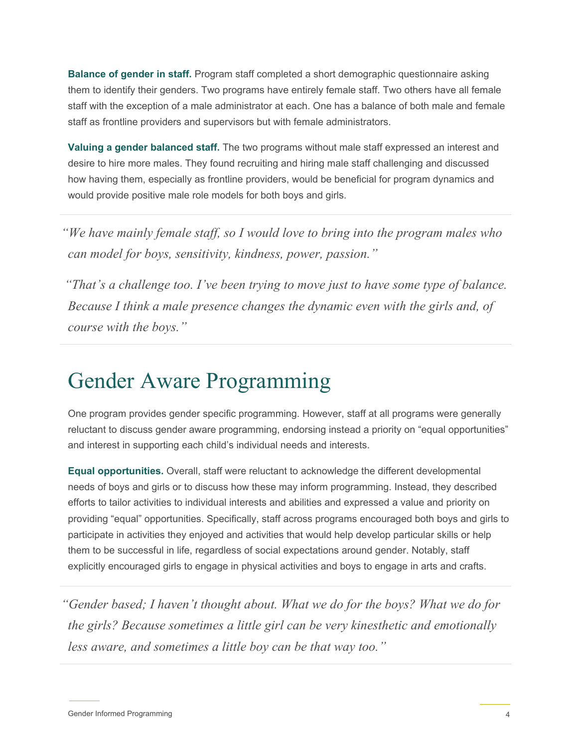**Balance of gender in staff.** Program staff completed a short demographic questionnaire asking them to identify their genders. Two programs have entirely female staff. Two others have all female staff with the exception of a male administrator at each. One has a balance of both male and female staff as frontline providers and supervisors but with female administrators.

**Valuing a gender balanced staff.** The two programs without male staff expressed an interest and desire to hire more males. They found recruiting and hiring male staff challenging and discussed how having them, especially as frontline providers, would be beneficial for program dynamics and would provide positive male role models for both boys and girls.

*"We have mainly female staff, so I would love to bring into the program males who can model for boys, sensitivity, kindness, power, passion."*

*"That's a challenge too. I've been trying to move just to have some type of balance. Because I think a male presence changes the dynamic even with the girls and, of course with the boys."*

### Gender Aware Programming

One program provides gender specific programming. However, staff at all programs were generally reluctant to discuss gender aware programming, endorsing instead a priority on "equal opportunities" and interest in supporting each child's individual needs and interests.

**Equal opportunities.** Overall, staff were reluctant to acknowledge the different developmental needs of boys and girls or to discuss how these may inform programming. Instead, they described efforts to tailor activities to individual interests and abilities and expressed a value and priority on providing "equal" opportunities. Specifically, staff across programs encouraged both boys and girls to participate in activities they enjoyed and activities that would help develop particular skills or help them to be successful in life, regardless of social expectations around gender. Notably, staff explicitly encouraged girls to engage in physical activities and boys to engage in arts and crafts.

*"Gender based; I haven't thought about. What we do for the boys? What we do for the girls? Because sometimes a little girl can be very kinesthetic and emotionally less aware, and sometimes a little boy can be that way too."*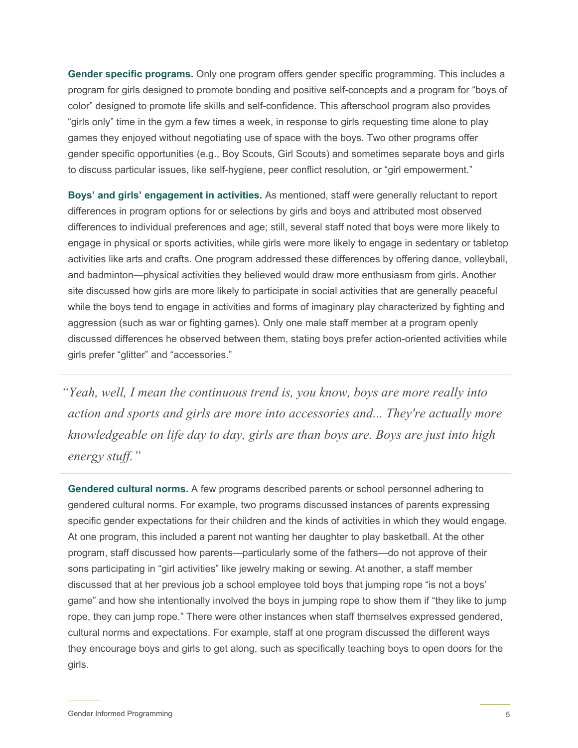**Gender specific programs.** Only one program offers gender specific programming. This includes a program for girls designed to promote bonding and positive self-concepts and a program for "boys of color" designed to promote life skills and self-confidence. This afterschool program also provides "girls only" time in the gym a few times a week, in response to girls requesting time alone to play games they enjoyed without negotiating use of space with the boys. Two other programs offer gender specific opportunities (e.g., Boy Scouts, Girl Scouts) and sometimes separate boys and girls to discuss particular issues, like self-hygiene, peer conflict resolution, or "girl empowerment."

**Boys' and girls' engagement in activities.** As mentioned, staff were generally reluctant to report differences in program options for or selections by girls and boys and attributed most observed differences to individual preferences and age; still, several staff noted that boys were more likely to engage in physical or sports activities, while girls were more likely to engage in sedentary or tabletop activities like arts and crafts. One program addressed these differences by offering dance, volleyball, and badminton—physical activities they believed would draw more enthusiasm from girls. Another site discussed how girls are more likely to participate in social activities that are generally peaceful while the boys tend to engage in activities and forms of imaginary play characterized by fighting and aggression (such as war or fighting games). Only one male staff member at a program openly discussed differences he observed between them, stating boys prefer action-oriented activities while girls prefer "glitter" and "accessories."

*"Yeah, well, I mean the continuous trend is, you know, boys are more really into action and sports and girls are more into accessories and... They're actually more knowledgeable on life day to day, girls are than boys are. Boys are just into high energy stuff."*

**Gendered cultural norms.** A few programs described parents or school personnel adhering to gendered cultural norms. For example, two programs discussed instances of parents expressing specific gender expectations for their children and the kinds of activities in which they would engage. At one program, this included a parent not wanting her daughter to play basketball. At the other program, staff discussed how parents—particularly some of the fathers—do not approve of their sons participating in "girl activities" like jewelry making or sewing. At another, a staff member discussed that at her previous job a school employee told boys that jumping rope "is not a boys' game" and how she intentionally involved the boys in jumping rope to show them if "they like to jump rope, they can jump rope." There were other instances when staff themselves expressed gendered, cultural norms and expectations. For example, staff at one program discussed the different ways they encourage boys and girls to get along, such as specifically teaching boys to open doors for the girls.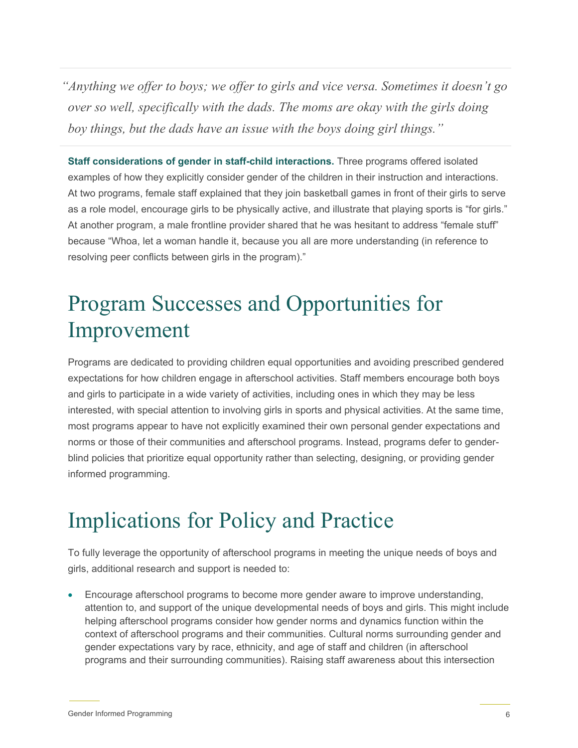*"Anything we offer to boys; we offer to girls and vice versa. Sometimes it doesn't go over so well, specifically with the dads. The moms are okay with the girls doing boy things, but the dads have an issue with the boys doing girl things."*

**Staff considerations of gender in staff-child interactions.** Three programs offered isolated examples of how they explicitly consider gender of the children in their instruction and interactions. At two programs, female staff explained that they join basketball games in front of their girls to serve as a role model, encourage girls to be physically active, and illustrate that playing sports is "for girls." At another program, a male frontline provider shared that he was hesitant to address "female stuff" because "Whoa, let a woman handle it, because you all are more understanding (in reference to resolving peer conflicts between girls in the program)."

## Program Successes and Opportunities for Improvement

Programs are dedicated to providing children equal opportunities and avoiding prescribed gendered expectations for how children engage in afterschool activities. Staff members encourage both boys and girls to participate in a wide variety of activities, including ones in which they may be less interested, with special attention to involving girls in sports and physical activities. At the same time, most programs appear to have not explicitly examined their own personal gender expectations and norms or those of their communities and afterschool programs. Instead, programs defer to genderblind policies that prioritize equal opportunity rather than selecting, designing, or providing gender informed programming.

### Implications for Policy and Practice

To fully leverage the opportunity of afterschool programs in meeting the unique needs of boys and girls, additional research and support is needed to:

• Encourage afterschool programs to become more gender aware to improve understanding, attention to, and support of the unique developmental needs of boys and girls. This might include helping afterschool programs consider how gender norms and dynamics function within the context of afterschool programs and their communities. Cultural norms surrounding gender and gender expectations vary by race, ethnicity, and age of staff and children (in afterschool programs and their surrounding communities). Raising staff awareness about this intersection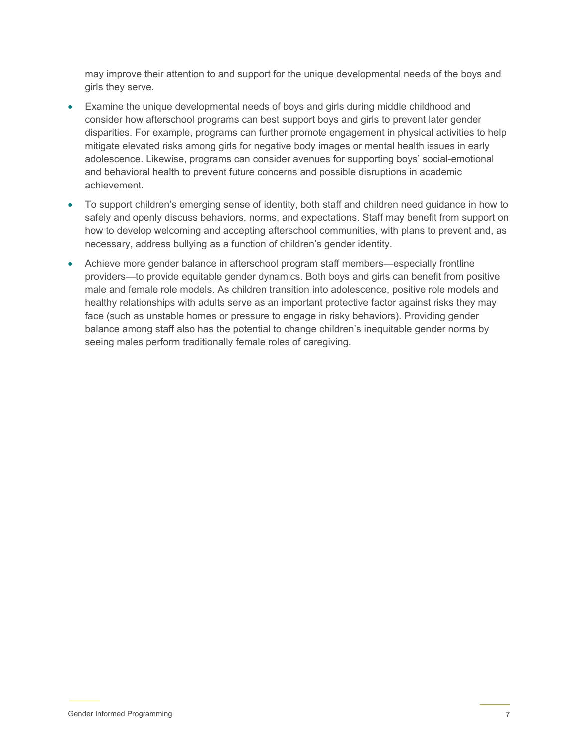may improve their attention to and support for the unique developmental needs of the boys and girls they serve.

- Examine the unique developmental needs of boys and girls during middle childhood and consider how afterschool programs can best support boys and girls to prevent later gender disparities. For example, programs can further promote engagement in physical activities to help mitigate elevated risks among girls for negative body images or mental health issues in early adolescence. Likewise, programs can consider avenues for supporting boys' social-emotional and behavioral health to prevent future concerns and possible disruptions in academic achievement.
- To support children's emerging sense of identity, both staff and children need guidance in how to safely and openly discuss behaviors, norms, and expectations. Staff may benefit from support on how to develop welcoming and accepting afterschool communities, with plans to prevent and, as necessary, address bullying as a function of children's gender identity.
- Achieve more gender balance in afterschool program staff members—especially frontline providers—to provide equitable gender dynamics. Both boys and girls can benefit from positive male and female role models. As children transition into adolescence, positive role models and healthy relationships with adults serve as an important protective factor against risks they may face (such as unstable homes or pressure to engage in risky behaviors). Providing gender balance among staff also has the potential to change children's inequitable gender norms by seeing males perform traditionally female roles of caregiving.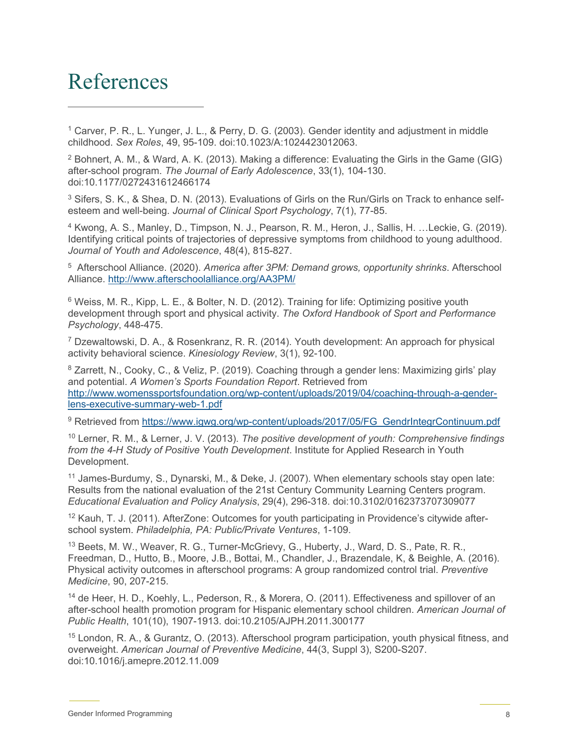### <span id="page-7-15"></span>References

<span id="page-7-16"></span><span id="page-7-0"></span> $1$  Carver, P. R., L. Yunger, J. L., & Perry, D. G. (2003). Gender identity and adjustment in middle childhood. *Sex Roles*, 49, 95-109. doi:10.1023/A:1024423012063.

<span id="page-7-17"></span><span id="page-7-1"></span><sup>2</sup> Bohnert, A. M., & Ward, A. K. (2013). Making a difference: Evaluating the Girls in the Game (GIG) after-school program. *The Journal of Early Adolescence*, 33(1), 104-130. doi:10.1177/0272431612466174

<span id="page-7-2"></span><sup>3</sup> Sifers, S. K., & Shea, D. N. (2013). Evaluations of Girls on the Run/Girls on Track to enhance selfesteem and well-being. *Journal of Clinical Sport Psychology*, 7(1), 77-85.

<span id="page-7-3"></span><sup>4</sup> Kwong, A. S., Manley, D., Timpson, N. J., Pearson, R. M., Heron, J., Sallis, H. …Leckie, G. (2019). Identifying critical points of trajectories of depressive symptoms from childhood to young adulthood. *Journal of Youth and Adolescence*, 48(4), 815-827.

<span id="page-7-4"></span>5 Afterschool Alliance. (2020). *America after 3PM: Demand grows, opportunity shrinks*. Afterschool Alliance.<http://www.afterschoolalliance.org/AA3PM/>

<span id="page-7-5"></span><sup>6</sup> Weiss, M. R., Kipp, L. E., & Bolter, N. D. (2012). Training for life: Optimizing positive youth development through sport and physical activity. *The Oxford Handbook of Sport and Performance Psychology*, 448-475.

<span id="page-7-6"></span><sup>7</sup> Dzewaltowski, D. A., & Rosenkranz, R. R. (2014). Youth development: An approach for physical activity behavioral science. *Kinesiology Review*, 3(1), 92-100.

<span id="page-7-7"></span><sup>8</sup> Zarrett, N., Cooky, C., & Veliz, P. (2019). Coaching through a gender lens: Maximizing girls' play and potential. *A Women's Sports Foundation Report*. Retrieved from [http://www.womenssportsfoundation.org/wp-content/uploads/2019/04/coaching-through-a-gender](http://www.womenssportsfoundation.org/wp-content/uploads/2019/04/coaching-through-a-gender-lens-executive-summary-web-1.pdf)[lens-executive-summary-web-1.pdf](http://www.womenssportsfoundation.org/wp-content/uploads/2019/04/coaching-through-a-gender-lens-executive-summary-web-1.pdf) 

<span id="page-7-8"></span>9 Retrieved from [https://www.igwg.org/wp-content/uploads/2017/05/FG\\_GendrIntegrContinuum.pdf](https://www.igwg.org/wp-content/uploads/2017/05/FG_GendrIntegrContinuum.pdf)

<span id="page-7-9"></span><sup>10</sup> Lerner, R. M., & Lerner, J. V. (2013). *The positive development of youth: Comprehensive findings from the 4-H Study of Positive Youth Development*. Institute for Applied Research in Youth Development.

<span id="page-7-10"></span><sup>11</sup> James-Burdumy, S., Dynarski, M., & Deke, J. (2007). When elementary schools stay open late: Results from the national evaluation of the 21st Century Community Learning Centers program. *Educational Evaluation and Policy Analysis*, 29(4), 296-318. doi:10.3102/0162373707309077

<span id="page-7-11"></span> $12$  Kauh, T. J. (2011). AfterZone: Outcomes for youth participating in Providence's citywide afterschool system. *Philadelphia, PA: Public/Private Ventures*, 1-109.

<span id="page-7-12"></span><sup>13</sup> Beets, M. W., Weaver, R. G., Turner-McGrievy, G., Huberty, J., Ward, D. S., Pate, R. R., Freedman, D., Hutto, B., Moore, J.B., Bottai, M., Chandler, J., Brazendale, K, & Beighle, A. (2016). Physical activity outcomes in afterschool programs: A group randomized control trial. *Preventive Medicine*, 90, 207-215.

<span id="page-7-13"></span><sup>14</sup> de Heer, H. D., Koehly, L., Pederson, R., & Morera, O. (2011). Effectiveness and spillover of an after-school health promotion program for Hispanic elementary school children. *American Journal of Public Health*, 101(10), 1907-1913. doi:10.2105/AJPH.2011.300177

<span id="page-7-14"></span><sup>15</sup> London, R. A., & Gurantz, O. (2013). Afterschool program participation, youth physical fitness, and overweight. *American Journal of Preventive Medicine*, 44(3, Suppl 3), S200-S207. doi:10.1016/j.amepre.2012.11.009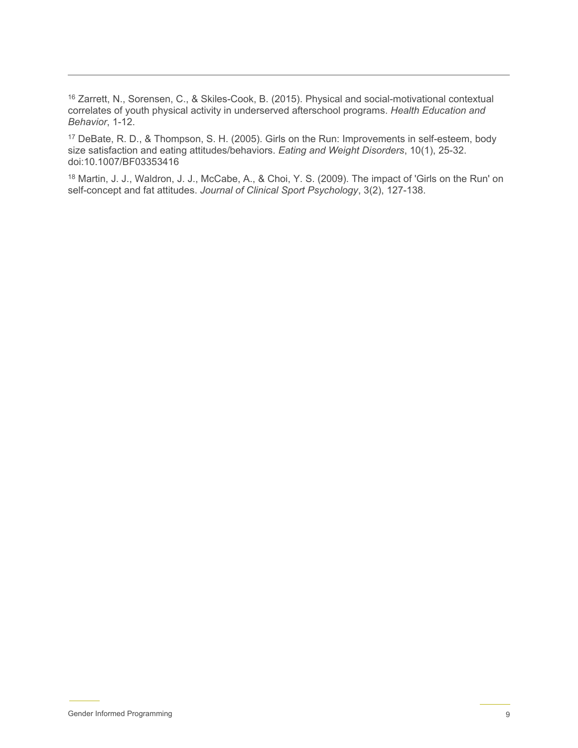<sup>16</sup> Zarrett, N., Sorensen, C., & Skiles-Cook, B. (2015). Physical and social-motivational contextual correlates of youth physical activity in underserved afterschool programs. *Health Education and Behavior*, 1-12.

<sup>17</sup> DeBate, R. D., & Thompson, S. H. (2005). Girls on the Run: Improvements in self-esteem, body size satisfaction and eating attitudes/behaviors. *Eating and Weight Disorders*, 10(1), 25-32. doi:10.1007/BF03353416

<sup>18</sup> Martin, J. J., Waldron, J. J., McCabe, A., & Choi, Y. S. (2009). The impact of 'Girls on the Run' on self-concept and fat attitudes. *Journal of Clinical Sport Psychology*, 3(2), 127-138.